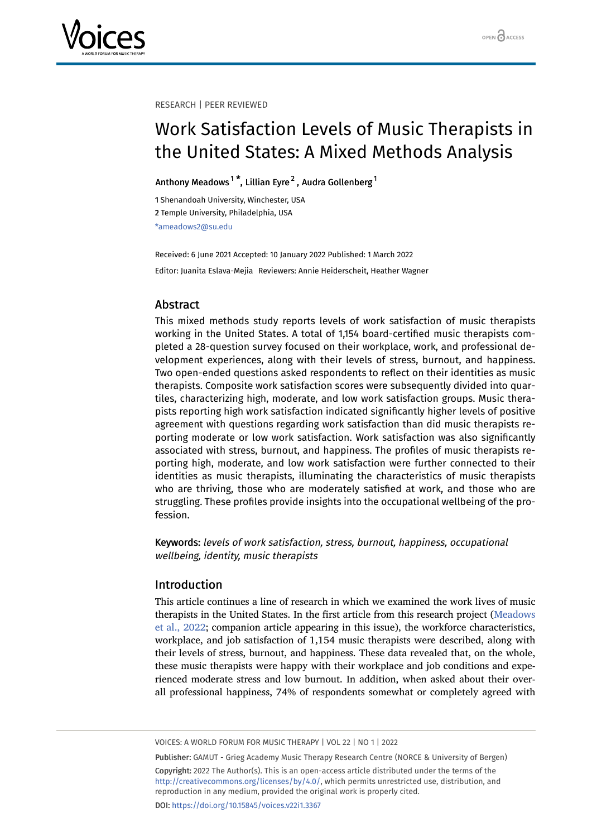

#### RESEARCH | PEER REVIEWED

# Work Satisfaction Levels of Music Therapists in the United States: A Mixed Methods Analysis

Anthony Meadows $^{\rm 1 \, *}$  $^{\rm 1 \, *}$  $^{\rm 1 \, *}$ , Lillian Eyre $^{\rm 2}$  $^{\rm 2}$  $^{\rm 2}$  , Audra Gollenberg $^{\rm 1}$ 

<span id="page-0-1"></span><span id="page-0-0"></span>1 Shenandoah University, Winchester, USA 2 Temple University, Philadelphia, USA \*ameadows2@su.edu

Received: 6 June 2021 Accepted: 10 January 2022 Published: 1 March 2022 Editor: Juanita Eslava-Mejia Reviewers: Annie Heiderscheit, Heather Wagner

# Abstract

This mixed methods study reports levels of work satisfaction of music therapists working in the United States. A total of 1,154 board-certified music therapists completed a 28-question survey focused on their workplace, work, and professional development experiences, along with their levels of stress, burnout, and happiness. Two open-ended questions asked respondents to reflect on their identities as music therapists. Composite work satisfaction scores were subsequently divided into quartiles, characterizing high, moderate, and low work satisfaction groups. Music therapists reporting high work satisfaction indicated significantly higher levels of positive agreement with questions regarding work satisfaction than did music therapists reporting moderate or low work satisfaction. Work satisfaction was also significantly associated with stress, burnout, and happiness. The profiles of music therapists reporting high, moderate, and low work satisfaction were further connected to their identities as music therapists, illuminating the characteristics of music therapists who are thriving, those who are moderately satisfied at work, and those who are struggling. These profiles provide insights into the occupational wellbeing of the profession.

Keywords: levels of work satisfaction, stress, burnout, happiness, occupational wellbeing, identity, music therapists

# Introduction

This article continues a line of research in which we examined the work lives of music therapists in the United States. In the first article from this research project ([Meadows](#page-17-0) [et al., 2022;](#page-17-0) companion article appearing in this issue), the workforce characteristics, workplace, and job satisfaction of 1,154 music therapists were described, along with their levels of stress, burnout, and happiness. These data revealed that, on the whole, these music therapists were happy with their workplace and job conditions and experienced moderate stress and low burnout. In addition, when asked about their overall professional happiness, 74% of respondents somewhat or completely agreed with

VOICES: A WORLD FORUM FOR MUSIC THERAPY | VOL 22 | NO 1 | 2022

Publisher: GAMUT - Grieg Academy Music Therapy Research Centre (NORCE & University of Bergen) Copyright: 2022 The Author(s). This is an open-access article distributed under the terms of the <http://creativecommons.org/licenses/by/4.0/>, which permits unrestricted use, distribution, and reproduction in any medium, provided the original work is properly cited. DOI: <https://doi.org/10.15845/voices.v22i1.3367>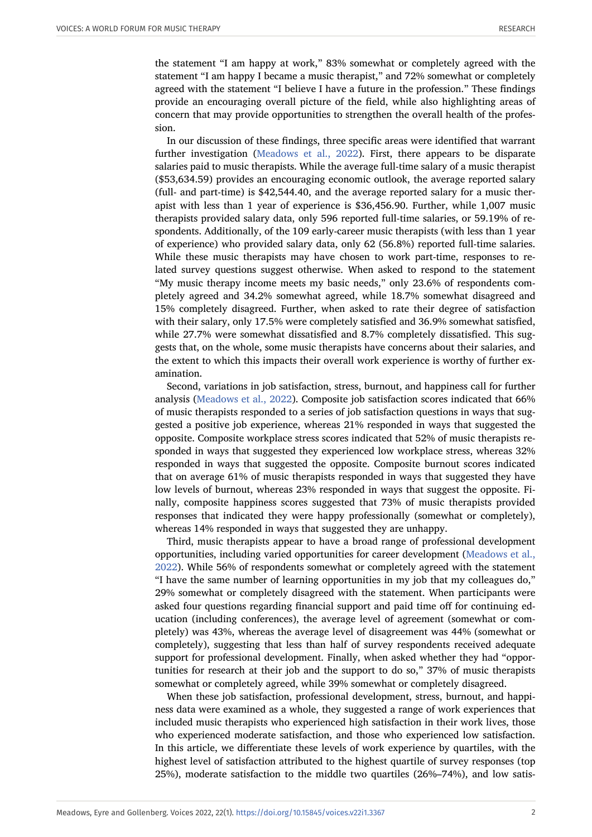the statement "I am happy at work," 83% somewhat or completely agreed with the statement "I am happy I became a music therapist," and 72% somewhat or completely agreed with the statement "I believe I have a future in the profession." These findings provide an encouraging overall picture of the field, while also highlighting areas of concern that may provide opportunities to strengthen the overall health of the profession.

In our discussion of these findings, three specific areas were identified that warrant further investigation [\(Meadows et al., 2022](#page-17-0)). First, there appears to be disparate salaries paid to music therapists. While the average full-time salary of a music therapist (\$53,634.59) provides an encouraging economic outlook, the average reported salary (full- and part-time) is \$42,544.40, and the average reported salary for a music therapist with less than 1 year of experience is \$36,456.90. Further, while 1,007 music therapists provided salary data, only 596 reported full-time salaries, or 59.19% of respondents. Additionally, of the 109 early-career music therapists (with less than 1 year of experience) who provided salary data, only 62 (56.8%) reported full-time salaries. While these music therapists may have chosen to work part-time, responses to related survey questions suggest otherwise. When asked to respond to the statement "My music therapy income meets my basic needs," only 23.6% of respondents completely agreed and 34.2% somewhat agreed, while 18.7% somewhat disagreed and 15% completely disagreed. Further, when asked to rate their degree of satisfaction with their salary, only 17.5% were completely satisfied and 36.9% somewhat satisfied, while 27.7% were somewhat dissatisfied and 8.7% completely dissatisfied. This suggests that, on the whole, some music therapists have concerns about their salaries, and the extent to which this impacts their overall work experience is worthy of further examination.

Second, variations in job satisfaction, stress, burnout, and happiness call for further analysis ([Meadows et al., 2022\)](#page-17-0). Composite job satisfaction scores indicated that 66% of music therapists responded to a series of job satisfaction questions in ways that suggested a positive job experience, whereas 21% responded in ways that suggested the opposite. Composite workplace stress scores indicated that 52% of music therapists responded in ways that suggested they experienced low workplace stress, whereas 32% responded in ways that suggested the opposite. Composite burnout scores indicated that on average 61% of music therapists responded in ways that suggested they have low levels of burnout, whereas 23% responded in ways that suggest the opposite. Finally, composite happiness scores suggested that 73% of music therapists provided responses that indicated they were happy professionally (somewhat or completely), whereas 14% responded in ways that suggested they are unhappy.

Third, music therapists appear to have a broad range of professional development opportunities, including varied opportunities for career development ([Meadows et al.,](#page-17-0) [2022](#page-17-0)). While 56% of respondents somewhat or completely agreed with the statement "I have the same number of learning opportunities in my job that my colleagues do," 29% somewhat or completely disagreed with the statement. When participants were asked four questions regarding financial support and paid time off for continuing education (including conferences), the average level of agreement (somewhat or completely) was 43%, whereas the average level of disagreement was 44% (somewhat or completely), suggesting that less than half of survey respondents received adequate support for professional development. Finally, when asked whether they had "opportunities for research at their job and the support to do so," 37% of music therapists somewhat or completely agreed, while 39% somewhat or completely disagreed.

When these job satisfaction, professional development, stress, burnout, and happiness data were examined as a whole, they suggested a range of work experiences that included music therapists who experienced high satisfaction in their work lives, those who experienced moderate satisfaction, and those who experienced low satisfaction. In this article, we differentiate these levels of work experience by quartiles, with the highest level of satisfaction attributed to the highest quartile of survey responses (top 25%), moderate satisfaction to the middle two quartiles (26%–74%), and low satis-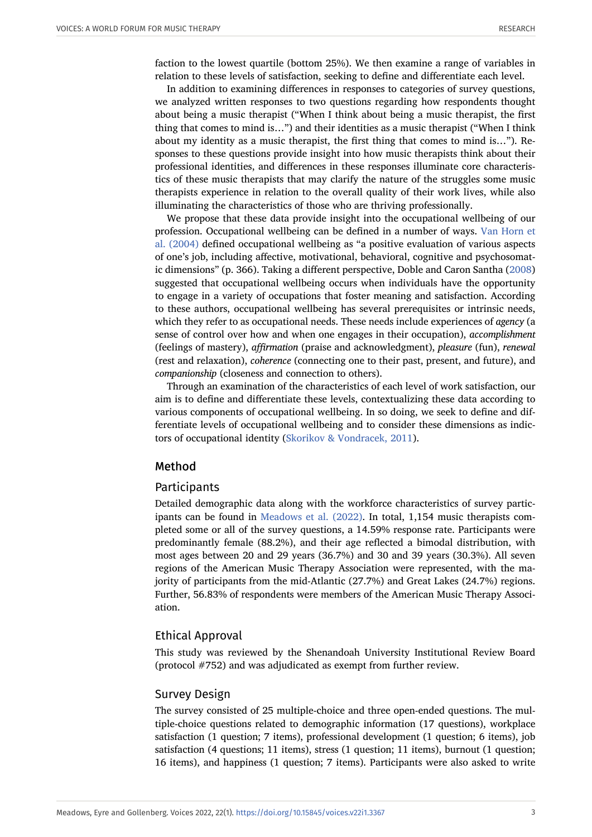faction to the lowest quartile (bottom 25%). We then examine a range of variables in relation to these levels of satisfaction, seeking to define and differentiate each level.

In addition to examining differences in responses to categories of survey questions, we analyzed written responses to two questions regarding how respondents thought about being a music therapist ("When I think about being a music therapist, the first thing that comes to mind is…") and their identities as a music therapist ("When I think about my identity as a music therapist, the first thing that comes to mind is…"). Responses to these questions provide insight into how music therapists think about their professional identities, and differences in these responses illuminate core characteristics of these music therapists that may clarify the nature of the struggles some music therapists experience in relation to the overall quality of their work lives, while also illuminating the characteristics of those who are thriving professionally.

We propose that these data provide insight into the occupational wellbeing of our profession. Occupational wellbeing can be defined in a number of ways. [Van Horn et](#page-17-1) [al. \(2004\)](#page-17-1) defined occupational wellbeing as "a positive evaluation of various aspects of one's job, including affective, motivational, behavioral, cognitive and psychosomatic dimensions" (p. 366). Taking a different perspective, Doble and Caron Santha [\(2008\)](#page-16-0) suggested that occupational wellbeing occurs when individuals have the opportunity to engage in a variety of occupations that foster meaning and satisfaction. According to these authors, occupational wellbeing has several prerequisites or intrinsic needs, which they refer to as occupational needs. These needs include experiences of *agency* (a sense of control over how and when one engages in their occupation), *accomplishment* (feelings of mastery), *affirmation* (praise and acknowledgment), *pleasure* (fun), *renewal* (rest and relaxation), *coherence* (connecting one to their past, present, and future), and *companionship* (closeness and connection to others).

Through an examination of the characteristics of each level of work satisfaction, our aim is to define and differentiate these levels, contextualizing these data according to various components of occupational wellbeing. In so doing, we seek to define and differentiate levels of occupational wellbeing and to consider these dimensions as indictors of occupational identity ([Skorikov & Vondracek, 2011](#page-17-2)).

### Method

### **Participants**

Detailed demographic data along with the workforce characteristics of survey participants can be found in [Meadows et al. \(2022\).](#page-17-0) In total, 1,154 music therapists completed some or all of the survey questions, a 14.59% response rate. Participants were predominantly female (88.2%), and their age reflected a bimodal distribution, with most ages between 20 and 29 years (36.7%) and 30 and 39 years (30.3%). All seven regions of the American Music Therapy Association were represented, with the majority of participants from the mid-Atlantic (27.7%) and Great Lakes (24.7%) regions. Further, 56.83% of respondents were members of the American Music Therapy Association.

### Ethical Approval

This study was reviewed by the Shenandoah University Institutional Review Board (protocol #752) and was adjudicated as exempt from further review.

#### Survey Design

The survey consisted of 25 multiple-choice and three open-ended questions. The multiple-choice questions related to demographic information (17 questions), workplace satisfaction (1 question; 7 items), professional development (1 question; 6 items), job satisfaction (4 questions; 11 items), stress (1 question; 11 items), burnout (1 question; 16 items), and happiness (1 question; 7 items). Participants were also asked to write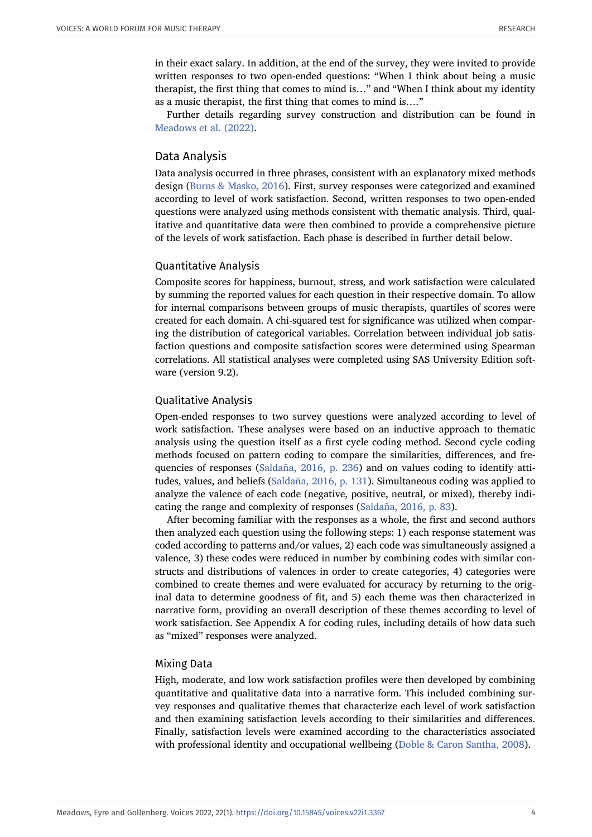in their exact salary. In addition, at the end of the survey, they were invited to provide written responses to two open-ended questions: "When I think about being a music therapist, the first thing that comes to mind is…" and "When I think about my identity as a music therapist, the first thing that comes to mind is…."

Further details regarding survey construction and distribution can be found in [Meadows et al. \(2022\).](#page-17-0)

### Data Analysis

Data analysis occurred in three phrases, consistent with an explanatory mixed methods design [\(Burns & Masko, 2016](#page-16-1)). First, survey responses were categorized and examined according to level of work satisfaction. Second, written responses to two open-ended questions were analyzed using methods consistent with thematic analysis. Third, qualitative and quantitative data were then combined to provide a comprehensive picture of the levels of work satisfaction. Each phase is described in further detail below.

### Quantitative Analysis

Composite scores for happiness, burnout, stress, and work satisfaction were calculated by summing the reported values for each question in their respective domain. To allow for internal comparisons between groups of music therapists, quartiles of scores were created for each domain. A chi-squared test for significance was utilized when comparing the distribution of categorical variables. Correlation between individual job satisfaction questions and composite satisfaction scores were determined using Spearman correlations. All statistical analyses were completed using SAS University Edition software (version 9.2).

#### Qualitative Analysis

Open-ended responses to two survey questions were analyzed according to level of work satisfaction. These analyses were based on an inductive approach to thematic analysis using the question itself as a first cycle coding method. Second cycle coding methods focused on pattern coding to compare the similarities, differences, and frequencies of responses ([Saldaña, 2016, p. 236\)](#page-17-3) and on values coding to identify attitudes, values, and beliefs [\(Saldaña, 2016, p. 131\)](#page-17-3). Simultaneous coding was applied to analyze the valence of each code (negative, positive, neutral, or mixed), thereby indicating the range and complexity of responses [\(Saldaña, 2016, p. 83\)](#page-17-3).

After becoming familiar with the responses as a whole, the first and second authors then analyzed each question using the following steps: 1) each response statement was coded according to patterns and/or values, 2) each code was simultaneously assigned a valence, 3) these codes were reduced in number by combining codes with similar constructs and distributions of valences in order to create categories, 4) categories were combined to create themes and were evaluated for accuracy by returning to the original data to determine goodness of fit, and 5) each theme was then characterized in narrative form, providing an overall description of these themes according to level of work satisfaction. See Appendix A for coding rules, including details of how data such as "mixed" responses were analyzed.

### Mixing Data

High, moderate, and low work satisfaction profiles were then developed by combining quantitative and qualitative data into a narrative form. This included combining survey responses and qualitative themes that characterize each level of work satisfaction and then examining satisfaction levels according to their similarities and differences. Finally, satisfaction levels were examined according to the characteristics associated with professional identity and occupational wellbeing [\(Doble & Caron Santha, 2008](#page-16-0)).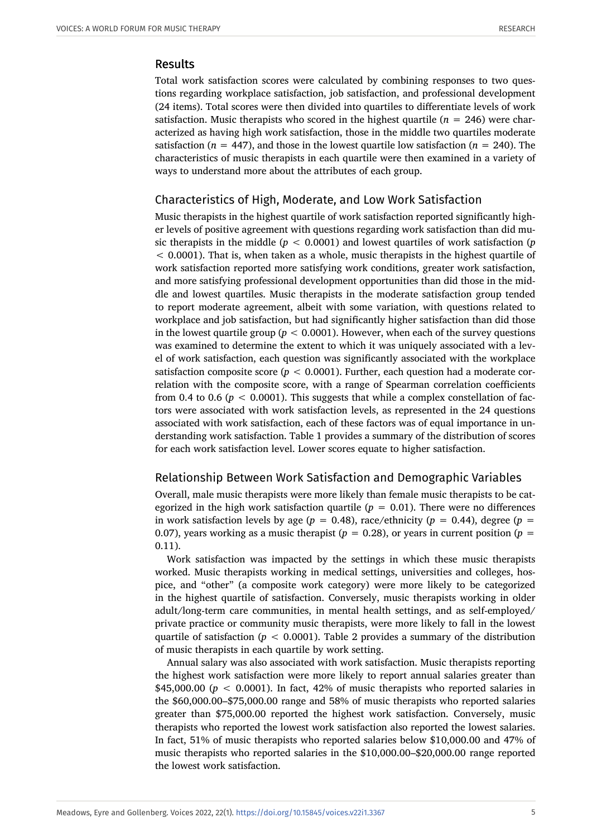### Results

Total work satisfaction scores were calculated by combining responses to two questions regarding workplace satisfaction, job satisfaction, and professional development (24 items). Total scores were then divided into quartiles to differentiate levels of work satisfaction. Music therapists who scored in the highest quartile ( $n = 246$ ) were characterized as having high work satisfaction, those in the middle two quartiles moderate satisfaction ( $n = 447$ ), and those in the lowest quartile low satisfaction ( $n = 240$ ). The characteristics of music therapists in each quartile were then examined in a variety of ways to understand more about the attributes of each group.

# Characteristics of High, Moderate, and Low Work Satisfaction

Music therapists in the highest quartile of work satisfaction reported significantly higher levels of positive agreement with questions regarding work satisfaction than did music therapists in the middle (*p* < 0.0001) and lowest quartiles of work satisfaction (*p* < 0.0001). That is, when taken as a whole, music therapists in the highest quartile of work satisfaction reported more satisfying work conditions, greater work satisfaction, and more satisfying professional development opportunities than did those in the middle and lowest quartiles. Music therapists in the moderate satisfaction group tended to report moderate agreement, albeit with some variation, with questions related to workplace and job satisfaction, but had significantly higher satisfaction than did those in the lowest quartile group ( $p < 0.0001$ ). However, when each of the survey questions was examined to determine the extent to which it was uniquely associated with a level of work satisfaction, each question was significantly associated with the workplace satisfaction composite score ( $p < 0.0001$ ). Further, each question had a moderate correlation with the composite score, with a range of Spearman correlation coefficients from 0.4 to 0.6 ( $p < 0.0001$ ). This suggests that while a complex constellation of factors were associated with work satisfaction levels, as represented in the 24 questions associated with work satisfaction, each of these factors was of equal importance in understanding work satisfaction. Table 1 provides a summary of the distribution of scores for each work satisfaction level. Lower scores equate to higher satisfaction.

# Relationship Between Work Satisfaction and Demographic Variables

Overall, male music therapists were more likely than female music therapists to be categorized in the high work satisfaction quartile  $(p = 0.01)$ . There were no differences in work satisfaction levels by age ( $p = 0.48$ ), race/ethnicity ( $p = 0.44$ ), degree ( $p =$ 0.07), years working as a music therapist ( $p = 0.28$ ), or years in current position ( $p = 0.29$ ) 0.11).

Work satisfaction was impacted by the settings in which these music therapists worked. Music therapists working in medical settings, universities and colleges, hospice, and "other" (a composite work category) were more likely to be categorized in the highest quartile of satisfaction. Conversely, music therapists working in older adult/long-term care communities, in mental health settings, and as self-employed/ private practice or community music therapists, were more likely to fall in the lowest quartile of satisfaction ( $p < 0.0001$ ). Table 2 provides a summary of the distribution of music therapists in each quartile by work setting.

Annual salary was also associated with work satisfaction. Music therapists reporting the highest work satisfaction were more likely to report annual salaries greater than \$45,000.00 ( $p < 0.0001$ ). In fact, 42% of music therapists who reported salaries in the \$60,000.00–\$75,000.00 range and 58% of music therapists who reported salaries greater than \$75,000.00 reported the highest work satisfaction. Conversely, music therapists who reported the lowest work satisfaction also reported the lowest salaries. In fact, 51% of music therapists who reported salaries below \$10,000.00 and 47% of music therapists who reported salaries in the \$10,000.00–\$20,000.00 range reported the lowest work satisfaction.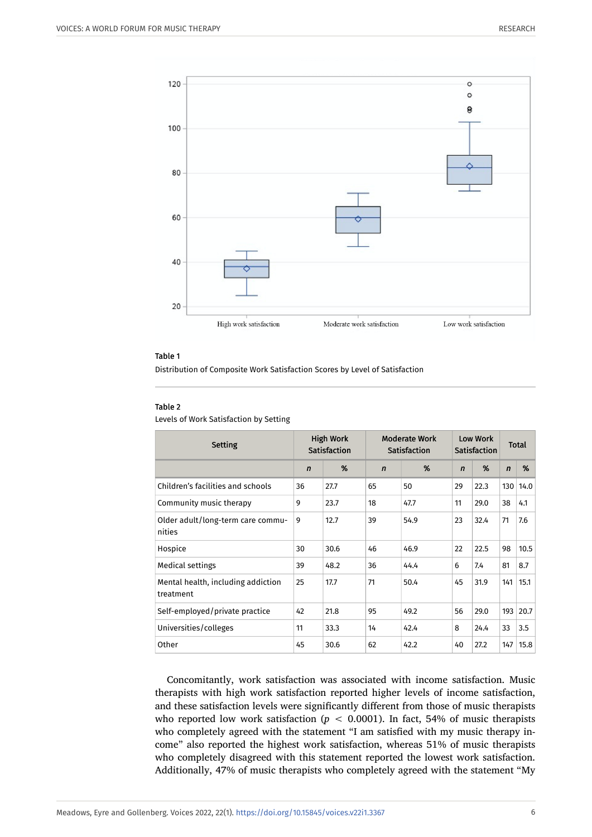

Distribution of Composite Work Satisfaction Scores by Level of Satisfaction

#### Table 2

Levels of Work Satisfaction by Setting

| <b>Setting</b>                                  | <b>High Work</b><br>Satisfaction |      | <b>Moderate Work</b><br><b>Satisfaction</b> |      | Low Work<br>Satisfaction |      | <b>Total</b> |      |
|-------------------------------------------------|----------------------------------|------|---------------------------------------------|------|--------------------------|------|--------------|------|
|                                                 | $\mathbf n$                      | %    | $\mathbf n$                                 | %    | $\mathbf n$              | %    | $\mathbf n$  | %    |
| Children's facilities and schools               | 36                               | 27.7 | 65                                          | 50   | 29                       | 22.3 | 130          | 14.0 |
| Community music therapy                         | 9                                | 23.7 | 18                                          | 47.7 | 11                       | 29.0 | 38           | 4.1  |
| Older adult/long-term care commu-<br>nities     | 9                                | 12.7 | 39                                          | 54.9 | 23                       | 32.4 | 71           | 7.6  |
| Hospice                                         | 30                               | 30.6 | 46                                          | 46.9 | 22                       | 22.5 | 98           | 10.5 |
| Medical settings                                | 39                               | 48.2 | 36                                          | 44.4 | 6                        | 7.4  | 81           | 8.7  |
| Mental health, including addiction<br>treatment | 25                               | 17.7 | 71                                          | 50.4 | 45                       | 31.9 | 141          | 15.1 |
| Self-employed/private practice                  | 42                               | 21.8 | 95                                          | 49.2 | 56                       | 29.0 | 193          | 20.7 |
| Universities/colleges                           | 11                               | 33.3 | 14                                          | 42.4 | 8                        | 24.4 | 33           | 3.5  |
| Other                                           | 45                               | 30.6 | 62                                          | 42.2 | 40                       | 27.2 | 147          | 15.8 |

Concomitantly, work satisfaction was associated with income satisfaction. Music therapists with high work satisfaction reported higher levels of income satisfaction, and these satisfaction levels were significantly different from those of music therapists who reported low work satisfaction  $(p < 0.0001)$ . In fact, 54% of music therapists who completely agreed with the statement "I am satisfied with my music therapy income" also reported the highest work satisfaction, whereas 51% of music therapists who completely disagreed with this statement reported the lowest work satisfaction. Additionally, 47% of music therapists who completely agreed with the statement "My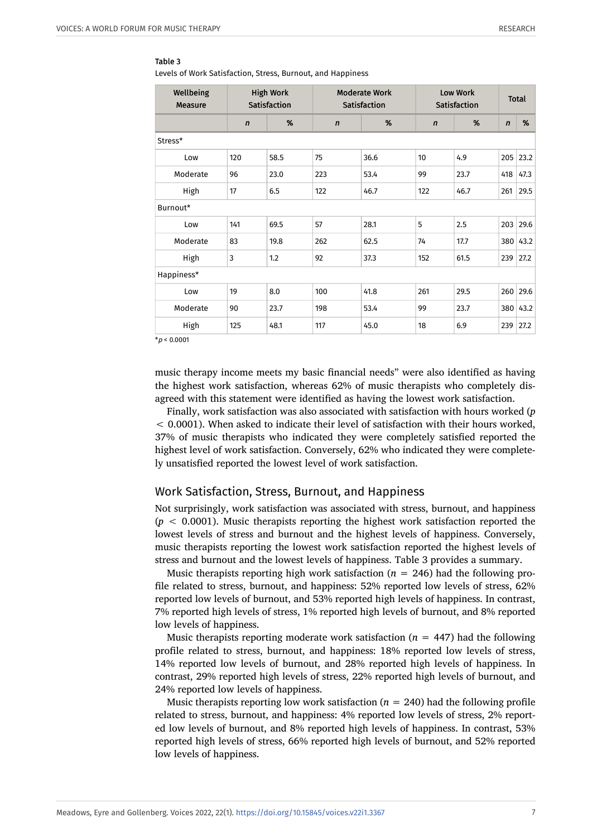Levels of Work Satisfaction, Stress, Burnout, and Happiness

| Wellbeing<br><b>Measure</b> |              | <b>High Work</b><br>Satisfaction |             | <b>Moderate Work</b><br>Satisfaction | <b>Low Work</b><br>Satisfaction |      | <b>Total</b> |      |
|-----------------------------|--------------|----------------------------------|-------------|--------------------------------------|---------------------------------|------|--------------|------|
|                             | $\mathsf{n}$ | %                                | $\mathbf n$ | %                                    | $\mathsf{n}$                    | %    | $\mathbf n$  | %    |
| Stress*                     |              |                                  |             |                                      |                                 |      |              |      |
| Low                         | 120          | 58.5                             | 75          | 36.6                                 | 10                              | 4.9  | 205          | 23.2 |
| Moderate                    | 96           | 23.0                             | 223         | 53.4                                 | 99                              | 23.7 | 418          | 47.3 |
| High                        | 17           | 6.5                              | 122         | 46.7                                 | 122                             | 46.7 | 261          | 29.5 |
| Burnout*                    |              |                                  |             |                                      |                                 |      |              |      |
| Low                         | 141          | 69.5                             | 57          | 28.1                                 | 5                               | 2.5  | 203          | 29.6 |
| Moderate                    | 83           | 19.8                             | 262         | 62.5                                 | 74                              | 17.7 | 380          | 43.2 |
| High                        | 3            | 1.2                              | 92          | 37.3                                 | 152                             | 61.5 | 239          | 27.2 |
| Happiness*                  |              |                                  |             |                                      |                                 |      |              |      |
| Low                         | 19           | 8.0                              | 100         | 41.8                                 | 261                             | 29.5 | 260          | 29.6 |
| Moderate                    | 90           | 23.7                             | 198         | 53.4                                 | 99                              | 23.7 | 380          | 43.2 |
| High                        | 125          | 48.1                             | 117         | 45.0                                 | 18                              | 6.9  | 239          | 27.2 |

 $*p < 0.0001$ 

music therapy income meets my basic financial needs" were also identified as having the highest work satisfaction, whereas 62% of music therapists who completely disagreed with this statement were identified as having the lowest work satisfaction.

Finally, work satisfaction was also associated with satisfaction with hours worked (*p* < 0.0001). When asked to indicate their level of satisfaction with their hours worked, 37% of music therapists who indicated they were completely satisfied reported the highest level of work satisfaction. Conversely, 62% who indicated they were completely unsatisfied reported the lowest level of work satisfaction.

### Work Satisfaction, Stress, Burnout, and Happiness

Not surprisingly, work satisfaction was associated with stress, burnout, and happiness (*p* < 0.0001). Music therapists reporting the highest work satisfaction reported the lowest levels of stress and burnout and the highest levels of happiness. Conversely, music therapists reporting the lowest work satisfaction reported the highest levels of stress and burnout and the lowest levels of happiness. Table 3 provides a summary.

Music therapists reporting high work satisfaction  $(n = 246)$  had the following profile related to stress, burnout, and happiness: 52% reported low levels of stress, 62% reported low levels of burnout, and 53% reported high levels of happiness. In contrast, 7% reported high levels of stress, 1% reported high levels of burnout, and 8% reported low levels of happiness.

Music therapists reporting moderate work satisfaction  $(n = 447)$  had the following profile related to stress, burnout, and happiness: 18% reported low levels of stress, 14% reported low levels of burnout, and 28% reported high levels of happiness. In contrast, 29% reported high levels of stress, 22% reported high levels of burnout, and 24% reported low levels of happiness.

Music therapists reporting low work satisfaction  $(n = 240)$  had the following profile related to stress, burnout, and happiness: 4% reported low levels of stress, 2% reported low levels of burnout, and 8% reported high levels of happiness. In contrast, 53% reported high levels of stress, 66% reported high levels of burnout, and 52% reported low levels of happiness.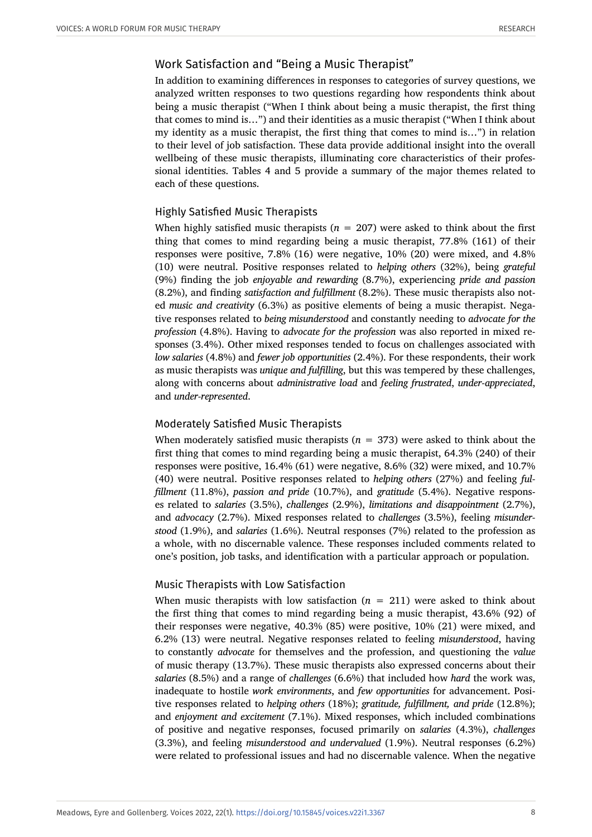# Work Satisfaction and "Being a Music Therapist"

In addition to examining differences in responses to categories of survey questions, we analyzed written responses to two questions regarding how respondents think about being a music therapist ("When I think about being a music therapist, the first thing that comes to mind is…") and their identities as a music therapist ("When I think about my identity as a music therapist, the first thing that comes to mind is…") in relation to their level of job satisfaction. These data provide additional insight into the overall wellbeing of these music therapists, illuminating core characteristics of their professional identities. Tables 4 and 5 provide a summary of the major themes related to each of these questions.

# Highly Satisfied Music Therapists

When highly satisfied music therapists  $(n = 207)$  were asked to think about the first thing that comes to mind regarding being a music therapist, 77.8% (161) of their responses were positive, 7.8% (16) were negative, 10% (20) were mixed, and 4.8% (10) were neutral. Positive responses related to *helping others* (32%), being *grateful* (9%) finding the job *enjoyable and rewarding* (8.7%), experiencing *pride and passion* (8.2%), and finding *satisfaction and fulfillment* (8.2%). These music therapists also noted *music and creativity* (6.3%) as positive elements of being a music therapist. Negative responses related to *being misunderstood* and constantly needing to *advocate for the profession* (4.8%). Having to *advocate for the profession* was also reported in mixed responses (3.4%). Other mixed responses tended to focus on challenges associated with *low salaries* (4.8%) and *fewer job opportunities* (2.4%). For these respondents, their work as music therapists was *unique and fulfilling*, but this was tempered by these challenges, along with concerns about *administrative load* and *feeling frustrated*, *under-appreciated*, and *under-represented*.

# Moderately Satisfied Music Therapists

When moderately satisfied music therapists  $(n = 373)$  were asked to think about the first thing that comes to mind regarding being a music therapist, 64.3% (240) of their responses were positive, 16.4% (61) were negative, 8.6% (32) were mixed, and 10.7% (40) were neutral. Positive responses related to *helping others* (27%) and feeling *fulfillment* (11.8%), *passion and pride* (10.7%), and *gratitude* (5.4%). Negative responses related to *salaries* (3.5%), *challenges* (2.9%), *limitations and disappointment* (2.7%), and *advocacy* (2.7%). Mixed responses related to *challenges* (3.5%), feeling *misunderstood* (1.9%), and *salaries* (1.6%). Neutral responses (7%) related to the profession as a whole, with no discernable valence. These responses included comments related to one's position, job tasks, and identification with a particular approach or population.

# Music Therapists with Low Satisfaction

When music therapists with low satisfaction  $(n = 211)$  were asked to think about the first thing that comes to mind regarding being a music therapist, 43.6% (92) of their responses were negative, 40.3% (85) were positive, 10% (21) were mixed, and 6.2% (13) were neutral. Negative responses related to feeling *misunderstood*, having to constantly *advocate* for themselves and the profession, and questioning the *value* of music therapy (13.7%). These music therapists also expressed concerns about their *salaries* (8.5%) and a range of *challenges* (6.6%) that included how *hard* the work was, inadequate to hostile *work environments*, and *few opportunities* for advancement. Positive responses related to *helping others* (18%); *gratitude, fulfillment, and pride* (12.8%); and *enjoyment and excitement* (7.1%). Mixed responses, which included combinations of positive and negative responses, focused primarily on *salaries* (4.3%), *challenges* (3.3%), and feeling *misunderstood and undervalued* (1.9%). Neutral responses (6.2%) were related to professional issues and had no discernable valence. When the negative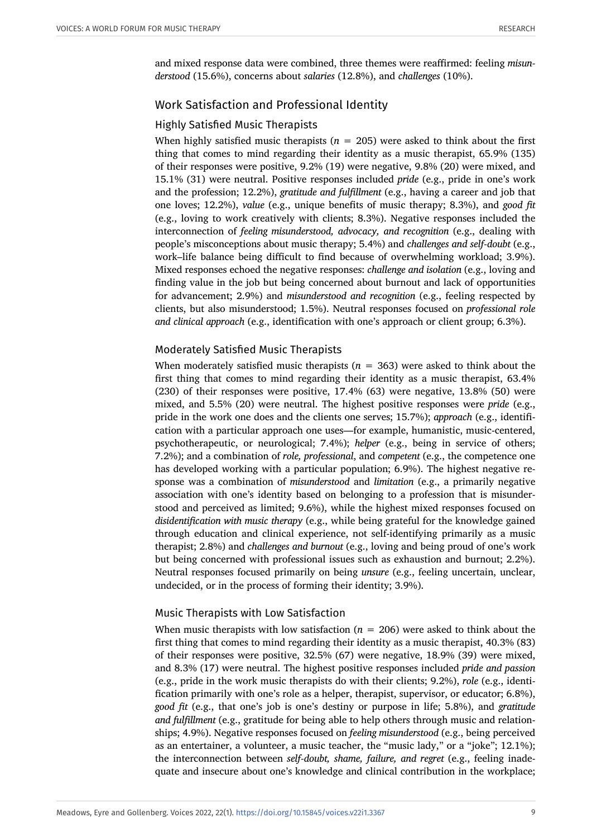and mixed response data were combined, three themes were reaffirmed: feeling *misunderstood* (15.6%), concerns about *salaries* (12.8%), and *challenges* (10%).

# Work Satisfaction and Professional Identity

# Highly Satisfied Music Therapists

When highly satisfied music therapists ( $n = 205$ ) were asked to think about the first thing that comes to mind regarding their identity as a music therapist, 65.9% (135) of their responses were positive, 9.2% (19) were negative, 9.8% (20) were mixed, and 15.1% (31) were neutral. Positive responses included *pride* (e.g., pride in one's work and the profession; 12.2%), *gratitude and fulfillment* (e.g., having a career and job that one loves; 12.2%), *value* (e.g., unique benefits of music therapy; 8.3%), and *good fit* (e.g., loving to work creatively with clients; 8.3%). Negative responses included the interconnection of *feeling misunderstood, advocacy, and recognition* (e.g., dealing with people's misconceptions about music therapy; 5.4%) and *challenges and self-doubt* (e.g., work–life balance being difficult to find because of overwhelming workload; 3.9%). Mixed responses echoed the negative responses: *challenge and isolation* (e.g., loving and finding value in the job but being concerned about burnout and lack of opportunities for advancement; 2.9%) and *misunderstood and recognition* (e.g., feeling respected by clients, but also misunderstood; 1.5%). Neutral responses focused on *professional role and clinical approach* (e.g., identification with one's approach or client group; 6.3%).

# Moderately Satisfied Music Therapists

When moderately satisfied music therapists  $(n = 363)$  were asked to think about the first thing that comes to mind regarding their identity as a music therapist, 63.4% (230) of their responses were positive, 17.4% (63) were negative, 13.8% (50) were mixed, and 5.5% (20) were neutral. The highest positive responses were *pride* (e.g., pride in the work one does and the clients one serves; 15.7%); *approach* (e.g., identification with a particular approach one uses—for example, humanistic, music-centered, psychotherapeutic, or neurological; 7.4%); *helper* (e.g., being in service of others; 7.2%); and a combination of *role, professional*, and *competent* (e.g., the competence one has developed working with a particular population; 6.9%). The highest negative response was a combination of *misunderstood* and *limitation* (e.g., a primarily negative association with one's identity based on belonging to a profession that is misunderstood and perceived as limited; 9.6%), while the highest mixed responses focused on *disidentification with music therapy* (e.g., while being grateful for the knowledge gained through education and clinical experience, not self-identifying primarily as a music therapist; 2.8%) and *challenges and burnout* (e.g., loving and being proud of one's work but being concerned with professional issues such as exhaustion and burnout; 2.2%). Neutral responses focused primarily on being *unsure* (e.g., feeling uncertain, unclear, undecided, or in the process of forming their identity; 3.9%).

# Music Therapists with Low Satisfaction

When music therapists with low satisfaction ( $n = 206$ ) were asked to think about the first thing that comes to mind regarding their identity as a music therapist, 40.3% (83) of their responses were positive, 32.5% (67) were negative, 18.9% (39) were mixed, and 8.3% (17) were neutral. The highest positive responses included *pride and passion* (e.g., pride in the work music therapists do with their clients; 9.2%), *role* (e.g., identification primarily with one's role as a helper, therapist, supervisor, or educator; 6.8%), *good fit* (e.g., that one's job is one's destiny or purpose in life; 5.8%), and *gratitude and fulfillment* (e.g., gratitude for being able to help others through music and relationships; 4.9%). Negative responses focused on *feeling misunderstood* (e.g., being perceived as an entertainer, a volunteer, a music teacher, the "music lady," or a "joke"; 12.1%); the interconnection between *self-doubt, shame, failure, and regret* (e.g., feeling inadequate and insecure about one's knowledge and clinical contribution in the workplace;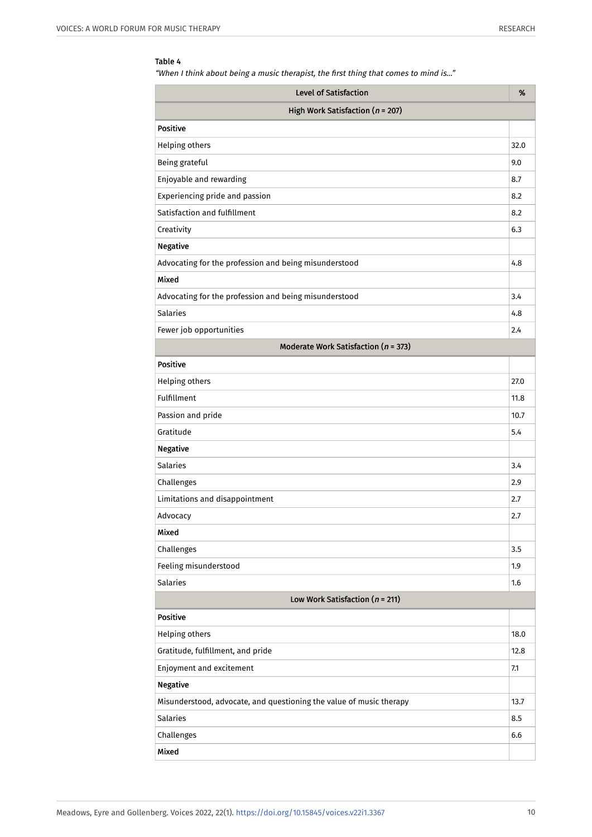"When I think about being a music therapist, the first thing that comes to mind is…"

| Level of Satisfaction                                               | %    |  |  |  |
|---------------------------------------------------------------------|------|--|--|--|
| High Work Satisfaction ( $n = 207$ )                                |      |  |  |  |
| <b>Positive</b>                                                     |      |  |  |  |
| Helping others                                                      | 32.0 |  |  |  |
| Being grateful                                                      | 9.0  |  |  |  |
| Enjoyable and rewarding                                             | 8.7  |  |  |  |
| Experiencing pride and passion                                      | 8.2  |  |  |  |
| Satisfaction and fulfillment                                        | 8.2  |  |  |  |
| Creativity                                                          | 6.3  |  |  |  |
| <b>Negative</b>                                                     |      |  |  |  |
| Advocating for the profession and being misunderstood               | 4.8  |  |  |  |
| Mixed                                                               |      |  |  |  |
| Advocating for the profession and being misunderstood               | 3.4  |  |  |  |
| <b>Salaries</b>                                                     | 4.8  |  |  |  |
| Fewer job opportunities                                             | 2.4  |  |  |  |
| Moderate Work Satisfaction ( $n = 373$ )                            |      |  |  |  |
| <b>Positive</b>                                                     |      |  |  |  |
| <b>Helping others</b>                                               | 27.0 |  |  |  |
| Fulfillment                                                         | 11.8 |  |  |  |
| Passion and pride                                                   | 10.7 |  |  |  |
| Gratitude                                                           | 5.4  |  |  |  |
| <b>Negative</b>                                                     |      |  |  |  |
| <b>Salaries</b>                                                     | 3.4  |  |  |  |
| Challenges                                                          | 2.9  |  |  |  |
| Limitations and disappointment                                      | 2.7  |  |  |  |
| Advocacy                                                            | 2.7  |  |  |  |
| Mixed                                                               |      |  |  |  |
| Challenges                                                          | 3.5  |  |  |  |
| Feeling misunderstood                                               | 1.9  |  |  |  |
| <b>Salaries</b>                                                     | 1.6  |  |  |  |
| Low Work Satisfaction ( $n = 211$ )                                 |      |  |  |  |
| Positive                                                            |      |  |  |  |
| <b>Helping others</b>                                               | 18.0 |  |  |  |
| Gratitude, fulfillment, and pride                                   | 12.8 |  |  |  |
| Enjoyment and excitement                                            | 7.1  |  |  |  |
| <b>Negative</b>                                                     |      |  |  |  |
| Misunderstood, advocate, and questioning the value of music therapy | 13.7 |  |  |  |
| <b>Salaries</b>                                                     | 8.5  |  |  |  |
| Challenges                                                          | 6.6  |  |  |  |
| Mixed                                                               |      |  |  |  |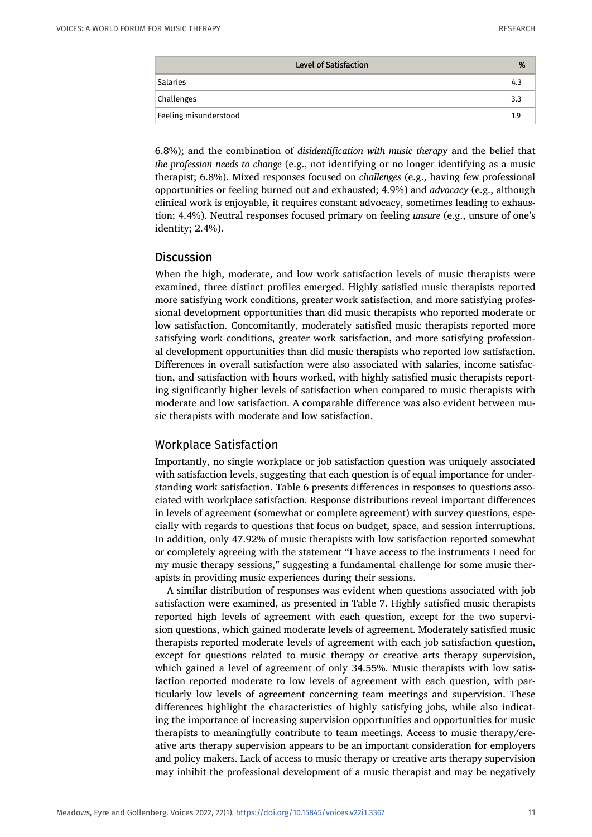| <b>Level of Satisfaction</b> | %   |
|------------------------------|-----|
| Salaries                     | 4.3 |
| Challenges                   | 3.3 |
| Feeling misunderstood        | 1.9 |

6.8%); and the combination of *disidentification with music therapy* and the belief that *the profession needs to change* (e.g., not identifying or no longer identifying as a music therapist; 6.8%). Mixed responses focused on *challenges* (e.g., having few professional opportunities or feeling burned out and exhausted; 4.9%) and *advocacy* (e.g., although clinical work is enjoyable, it requires constant advocacy, sometimes leading to exhaustion; 4.4%). Neutral responses focused primary on feeling *unsure* (e.g., unsure of one's identity; 2.4%).

# **Discussion**

When the high, moderate, and low work satisfaction levels of music therapists were examined, three distinct profiles emerged. Highly satisfied music therapists reported more satisfying work conditions, greater work satisfaction, and more satisfying professional development opportunities than did music therapists who reported moderate or low satisfaction. Concomitantly, moderately satisfied music therapists reported more satisfying work conditions, greater work satisfaction, and more satisfying professional development opportunities than did music therapists who reported low satisfaction. Differences in overall satisfaction were also associated with salaries, income satisfaction, and satisfaction with hours worked, with highly satisfied music therapists reporting significantly higher levels of satisfaction when compared to music therapists with moderate and low satisfaction. A comparable difference was also evident between music therapists with moderate and low satisfaction.

# Workplace Satisfaction

Importantly, no single workplace or job satisfaction question was uniquely associated with satisfaction levels, suggesting that each question is of equal importance for understanding work satisfaction. Table 6 presents differences in responses to questions associated with workplace satisfaction. Response distributions reveal important differences in levels of agreement (somewhat or complete agreement) with survey questions, especially with regards to questions that focus on budget, space, and session interruptions. In addition, only 47.92% of music therapists with low satisfaction reported somewhat or completely agreeing with the statement "I have access to the instruments I need for my music therapy sessions," suggesting a fundamental challenge for some music therapists in providing music experiences during their sessions.

A similar distribution of responses was evident when questions associated with job satisfaction were examined, as presented in Table 7. Highly satisfied music therapists reported high levels of agreement with each question, except for the two supervision questions, which gained moderate levels of agreement. Moderately satisfied music therapists reported moderate levels of agreement with each job satisfaction question, except for questions related to music therapy or creative arts therapy supervision, which gained a level of agreement of only 34.55%. Music therapists with low satisfaction reported moderate to low levels of agreement with each question, with particularly low levels of agreement concerning team meetings and supervision. These differences highlight the characteristics of highly satisfying jobs, while also indicating the importance of increasing supervision opportunities and opportunities for music therapists to meaningfully contribute to team meetings. Access to music therapy/creative arts therapy supervision appears to be an important consideration for employers and policy makers. Lack of access to music therapy or creative arts therapy supervision may inhibit the professional development of a music therapist and may be negatively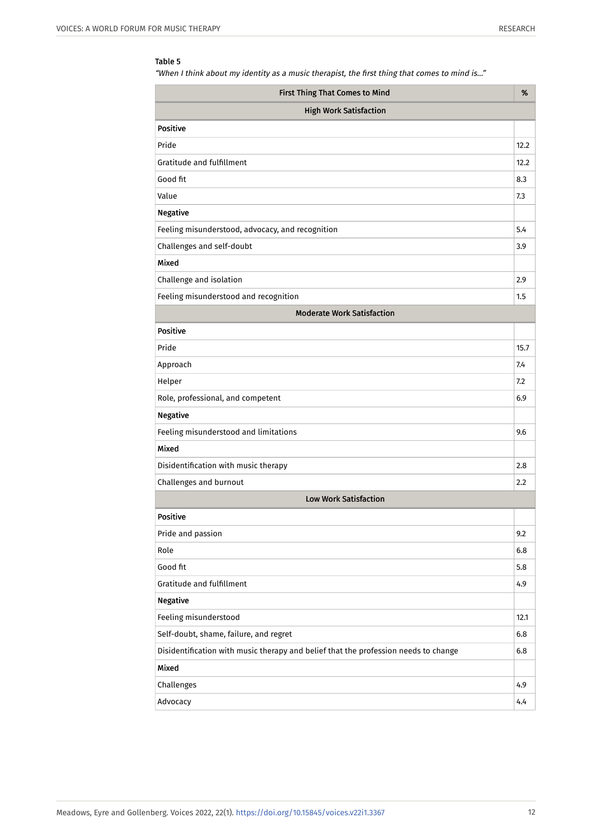"When I think about my identity as a music therapist, the first thing that comes to mind is…"

| First Thing That Comes to Mind                                                      | %    |  |  |  |
|-------------------------------------------------------------------------------------|------|--|--|--|
| <b>High Work Satisfaction</b>                                                       |      |  |  |  |
| <b>Positive</b>                                                                     |      |  |  |  |
| Pride                                                                               | 12.2 |  |  |  |
| Gratitude and fulfillment                                                           | 12.2 |  |  |  |
| Good fit                                                                            | 8.3  |  |  |  |
| Value                                                                               | 7.3  |  |  |  |
| <b>Negative</b>                                                                     |      |  |  |  |
| Feeling misunderstood, advocacy, and recognition                                    | 5.4  |  |  |  |
| Challenges and self-doubt                                                           | 3.9  |  |  |  |
| Mixed                                                                               |      |  |  |  |
| Challenge and isolation                                                             | 2.9  |  |  |  |
| Feeling misunderstood and recognition                                               | 1.5  |  |  |  |
| <b>Moderate Work Satisfaction</b>                                                   |      |  |  |  |
| <b>Positive</b>                                                                     |      |  |  |  |
| Pride                                                                               | 15.7 |  |  |  |
| Approach                                                                            | 7.4  |  |  |  |
| Helper                                                                              | 7.2  |  |  |  |
| Role, professional, and competent                                                   | 6.9  |  |  |  |
| <b>Negative</b>                                                                     |      |  |  |  |
| Feeling misunderstood and limitations                                               | 9.6  |  |  |  |
| Mixed                                                                               |      |  |  |  |
| Disidentification with music therapy                                                | 2.8  |  |  |  |
| Challenges and burnout                                                              | 2.2  |  |  |  |
| <b>Low Work Satisfaction</b>                                                        |      |  |  |  |
| <b>Positive</b>                                                                     |      |  |  |  |
| Pride and passion                                                                   | 9.2  |  |  |  |
| Role                                                                                | 6.8  |  |  |  |
| Good fit                                                                            | 5.8  |  |  |  |
| Gratitude and fulfillment                                                           | 4.9  |  |  |  |
| <b>Negative</b>                                                                     |      |  |  |  |
| Feeling misunderstood                                                               | 12.1 |  |  |  |
| Self-doubt, shame, failure, and regret                                              | 6.8  |  |  |  |
| Disidentification with music therapy and belief that the profession needs to change | 6.8  |  |  |  |
| Mixed                                                                               |      |  |  |  |
| Challenges                                                                          | 4.9  |  |  |  |
| Advocacy                                                                            | 4,4  |  |  |  |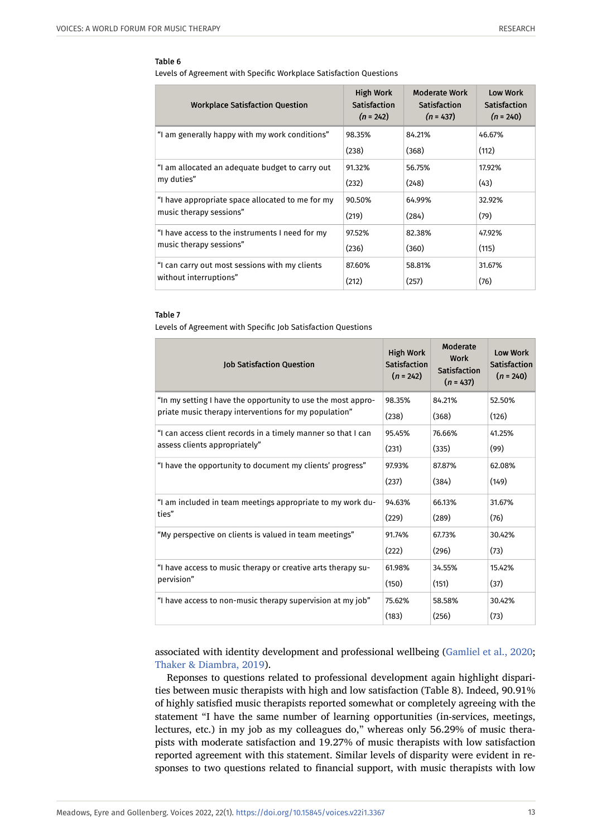Levels of Agreement with Specific Workplace Satisfaction Questions

| <b>Workplace Satisfaction Question</b>           | <b>High Work</b><br><b>Satisfaction</b><br>$(n = 242)$ | <b>Moderate Work</b><br>Satisfaction<br>$(n = 437)$ | Low Work<br><b>Satisfaction</b><br>$(n = 240)$ |
|--------------------------------------------------|--------------------------------------------------------|-----------------------------------------------------|------------------------------------------------|
| "I am generally happy with my work conditions"   | 98.35%                                                 | 84.21%                                              | 46.67%                                         |
|                                                  | (238)                                                  | (368)                                               | (112)                                          |
| "I am allocated an adequate budget to carry out  | 91.32%                                                 | 56.75%                                              | 17.92%                                         |
| my duties"                                       | (232)                                                  | (248)                                               | (43)                                           |
| "I have appropriate space allocated to me for my | 90.50%                                                 | 64.99%                                              | 32.92%                                         |
| music therapy sessions"                          | (219)                                                  | (284)                                               | (79)                                           |
| "I have access to the instruments I need for my  | 97.52%                                                 | 82.38%                                              | 47.92%                                         |
| music therapy sessions"                          | (236)                                                  | (360)                                               | (115)                                          |
| "I can carry out most sessions with my clients   | 87.60%                                                 | 58.81%                                              | 31.67%                                         |
| without interruptions"                           | (212)                                                  | (257)                                               | (76)                                           |

#### Table 7

Levels of Agreement with Specific Job Satisfaction Questions

| <b>Job Satisfaction Question</b>                              | <b>High Work</b><br>Satisfaction<br>$(n = 242)$ | Moderate<br>Work<br>Satisfaction<br>$(n = 437)$ | <b>Low Work</b><br><b>Satisfaction</b><br>$(n = 240)$ |
|---------------------------------------------------------------|-------------------------------------------------|-------------------------------------------------|-------------------------------------------------------|
| "In my setting I have the opportunity to use the most appro-  | 98.35%                                          | 84.21%                                          | 52.50%                                                |
| priate music therapy interventions for my population"         | (238)                                           | (368)                                           | (126)                                                 |
| "I can access client records in a timely manner so that I can | 95.45%                                          | 76.66%                                          | 41.25%                                                |
| assess clients appropriately"                                 | (231)                                           | (335)                                           | (99)                                                  |
| "I have the opportunity to document my clients' progress"     | 97.93%                                          | 87.87%                                          | 62.08%                                                |
|                                                               | (237)                                           | (384)                                           | (149)                                                 |
| "I am included in team meetings appropriate to my work du-    | 94.63%                                          | 66.13%                                          | 31.67%                                                |
| ties"                                                         | (229)                                           | (289)                                           | (76)                                                  |
| "My perspective on clients is valued in team meetings"        | 91.74%                                          | 67.73%                                          | 30.42%                                                |
|                                                               | (222)                                           | (296)                                           | (73)                                                  |
| "I have access to music therapy or creative arts therapy su-  | 61.98%                                          | 34.55%                                          | 15.42%                                                |
| pervision"                                                    | (150)                                           | (151)                                           | (37)                                                  |
| "I have access to non-music therapy supervision at my job"    | 75.62%                                          | 58.58%                                          | 30.42%                                                |
|                                                               | (183)                                           | (256)                                           | (73)                                                  |

associated with identity development and professional wellbeing ([Gamliel et al., 2020;](#page-17-4) [Thaker & Diambra, 2019](#page-17-5)).

Reponses to questions related to professional development again highlight disparities between music therapists with high and low satisfaction (Table 8). Indeed, 90.91% of highly satisfied music therapists reported somewhat or completely agreeing with the statement "I have the same number of learning opportunities (in-services, meetings, lectures, etc.) in my job as my colleagues do," whereas only 56.29% of music therapists with moderate satisfaction and 19.27% of music therapists with low satisfaction reported agreement with this statement. Similar levels of disparity were evident in responses to two questions related to financial support, with music therapists with low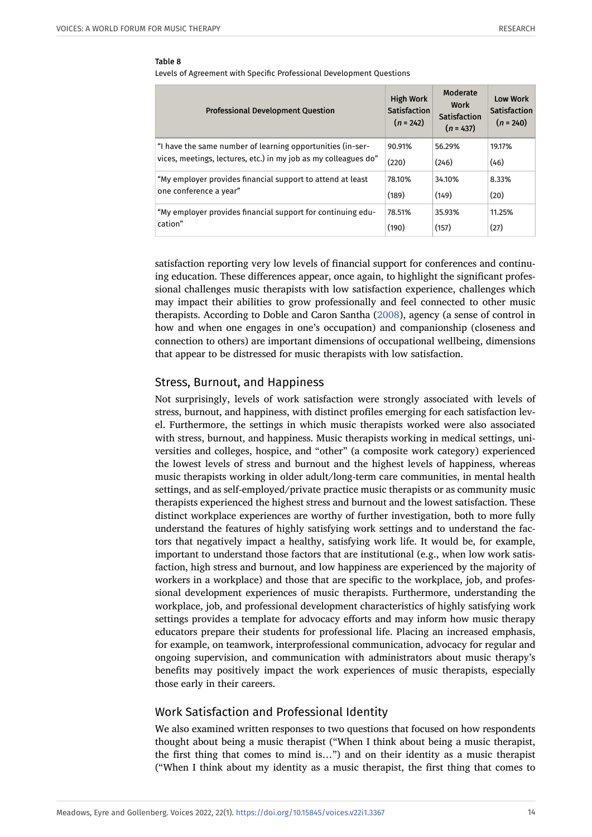Levels of Agreement with Specific Professional Development Questions

| <b>Professional Development Question</b>                        | <b>High Work</b><br>Satisfaction<br>$(n = 242)$ | Moderate<br>Work<br>Satisfaction<br>$(n = 437)$ | <b>Low Work</b><br><b>Satisfaction</b><br>$(n = 240)$ |
|-----------------------------------------------------------------|-------------------------------------------------|-------------------------------------------------|-------------------------------------------------------|
| "I have the same number of learning opportunities (in-ser-      | 90.91%                                          | 56.29%                                          | 19.17%                                                |
| vices, meetings, lectures, etc.) in my job as my colleagues do" | (220)                                           | (246)                                           | (46)                                                  |
| "My employer provides financial support to attend at least      | 78.10%                                          | 34.10%                                          | 8.33%                                                 |
| one conference a year"                                          | (189)                                           | (149)                                           | (20)                                                  |
| "My employer provides financial support for continuing edu-     | 78.51%                                          | 35.93%                                          | 11.25%                                                |
| cation"                                                         | (190)                                           | (157)                                           | (27)                                                  |

satisfaction reporting very low levels of financial support for conferences and continuing education. These differences appear, once again, to highlight the significant professional challenges music therapists with low satisfaction experience, challenges which may impact their abilities to grow professionally and feel connected to other music therapists. According to Doble and Caron Santha [\(2008\)](#page-16-0), agency (a sense of control in how and when one engages in one's occupation) and companionship (closeness and connection to others) are important dimensions of occupational wellbeing, dimensions that appear to be distressed for music therapists with low satisfaction.

# Stress, Burnout, and Happiness

Not surprisingly, levels of work satisfaction were strongly associated with levels of stress, burnout, and happiness, with distinct profiles emerging for each satisfaction level. Furthermore, the settings in which music therapists worked were also associated with stress, burnout, and happiness. Music therapists working in medical settings, universities and colleges, hospice, and "other" (a composite work category) experienced the lowest levels of stress and burnout and the highest levels of happiness, whereas music therapists working in older adult/long-term care communities, in mental health settings, and as self-employed/private practice music therapists or as community music therapists experienced the highest stress and burnout and the lowest satisfaction. These distinct workplace experiences are worthy of further investigation, both to more fully understand the features of highly satisfying work settings and to understand the factors that negatively impact a healthy, satisfying work life. It would be, for example, important to understand those factors that are institutional (e.g., when low work satisfaction, high stress and burnout, and low happiness are experienced by the majority of workers in a workplace) and those that are specific to the workplace, job, and professional development experiences of music therapists. Furthermore, understanding the workplace, job, and professional development characteristics of highly satisfying work settings provides a template for advocacy efforts and may inform how music therapy educators prepare their students for professional life. Placing an increased emphasis, for example, on teamwork, interprofessional communication, advocacy for regular and ongoing supervision, and communication with administrators about music therapy's benefits may positively impact the work experiences of music therapists, especially those early in their careers.

# Work Satisfaction and Professional Identity

We also examined written responses to two questions that focused on how respondents thought about being a music therapist ("When I think about being a music therapist, the first thing that comes to mind is…") and on their identity as a music therapist ("When I think about my identity as a music therapist, the first thing that comes to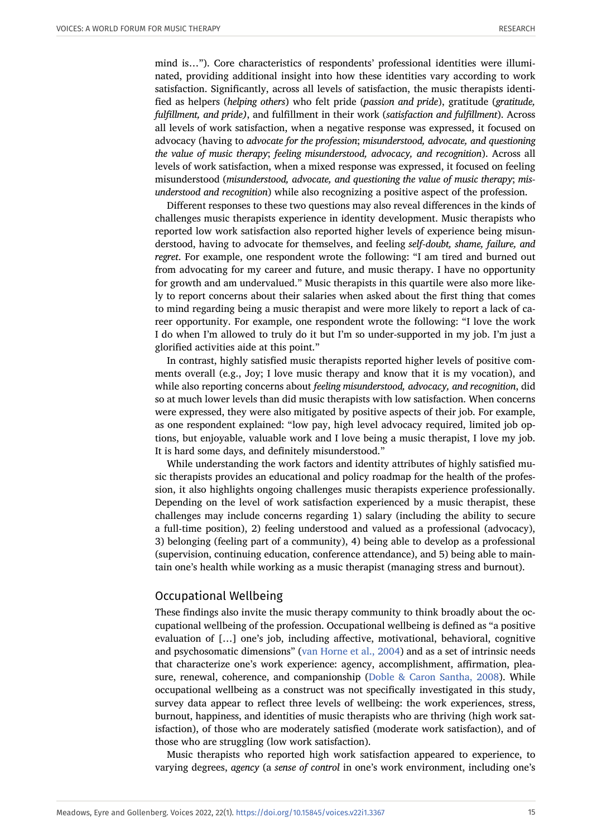mind is…"). Core characteristics of respondents' professional identities were illuminated, providing additional insight into how these identities vary according to work satisfaction. Significantly, across all levels of satisfaction, the music therapists identified as helpers (*helping others*) who felt pride (*passion and pride*), gratitude (*gratitude, fulfillment, and pride)*, and fulfillment in their work (*satisfaction and fulfillment*). Across all levels of work satisfaction, when a negative response was expressed, it focused on advocacy (having to *advocate for the profession*; *misunderstood, advocate, and questioning the value of music therapy*; *feeling misunderstood, advocacy, and recognition*). Across all levels of work satisfaction, when a mixed response was expressed, it focused on feeling misunderstood (*misunderstood, advocate, and questioning the value of music therapy*; *misunderstood and recognition*) while also recognizing a positive aspect of the profession.

Different responses to these two questions may also reveal differences in the kinds of challenges music therapists experience in identity development. Music therapists who reported low work satisfaction also reported higher levels of experience being misunderstood, having to advocate for themselves, and feeling *self-doubt, shame, failure, and regret*. For example, one respondent wrote the following: "I am tired and burned out from advocating for my career and future, and music therapy. I have no opportunity for growth and am undervalued." Music therapists in this quartile were also more likely to report concerns about their salaries when asked about the first thing that comes to mind regarding being a music therapist and were more likely to report a lack of career opportunity. For example, one respondent wrote the following: "I love the work I do when I'm allowed to truly do it but I'm so under-supported in my job. I'm just a glorified activities aide at this point."

In contrast, highly satisfied music therapists reported higher levels of positive comments overall (e.g., Joy; I love music therapy and know that it is my vocation), and while also reporting concerns about *feeling misunderstood, advocacy, and recognition*, did so at much lower levels than did music therapists with low satisfaction. When concerns were expressed, they were also mitigated by positive aspects of their job. For example, as one respondent explained: "low pay, high level advocacy required, limited job options, but enjoyable, valuable work and I love being a music therapist, I love my job. It is hard some days, and definitely misunderstood."

While understanding the work factors and identity attributes of highly satisfied music therapists provides an educational and policy roadmap for the health of the profession, it also highlights ongoing challenges music therapists experience professionally. Depending on the level of work satisfaction experienced by a music therapist, these challenges may include concerns regarding 1) salary (including the ability to secure a full-time position), 2) feeling understood and valued as a professional (advocacy), 3) belonging (feeling part of a community), 4) being able to develop as a professional (supervision, continuing education, conference attendance), and 5) being able to maintain one's health while working as a music therapist (managing stress and burnout).

### Occupational Wellbeing

These findings also invite the music therapy community to think broadly about the occupational wellbeing of the profession. Occupational wellbeing is defined as "a positive evaluation of […] one's job, including affective, motivational, behavioral, cognitive and psychosomatic dimensions" ([van Horne et al., 2004](#page-17-1)) and as a set of intrinsic needs that characterize one's work experience: agency, accomplishment, affirmation, pleasure, renewal, coherence, and companionship ([Doble & Caron Santha, 2008\)](#page-16-0). While occupational wellbeing as a construct was not specifically investigated in this study, survey data appear to reflect three levels of wellbeing: the work experiences, stress, burnout, happiness, and identities of music therapists who are thriving (high work satisfaction), of those who are moderately satisfied (moderate work satisfaction), and of those who are struggling (low work satisfaction).

Music therapists who reported high work satisfaction appeared to experience, to varying degrees, *agency* (a *sense of control* in one's work environment, including one's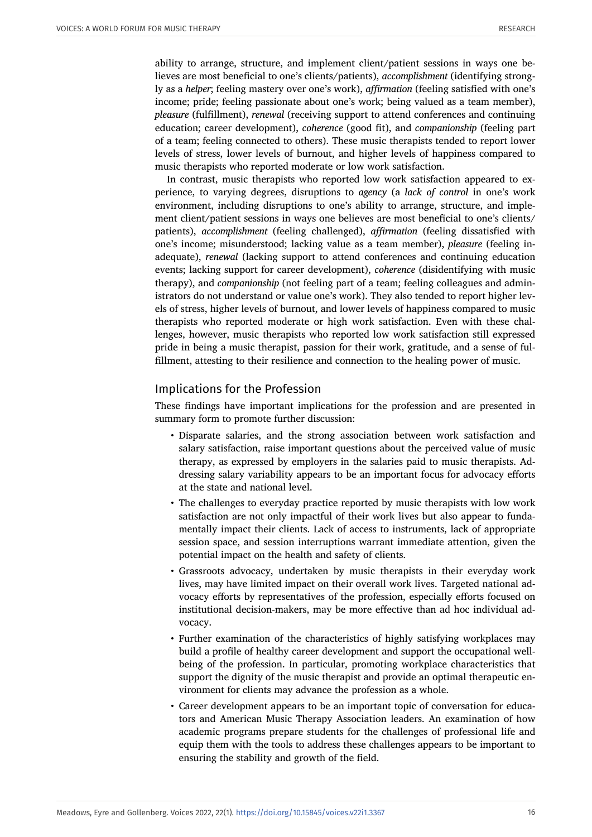ability to arrange, structure, and implement client/patient sessions in ways one believes are most beneficial to one's clients/patients), *accomplishment* (identifying strongly as a *helper*; feeling mastery over one's work), *affirmation* (feeling satisfied with one's income; pride; feeling passionate about one's work; being valued as a team member), *pleasure* (fulfillment), *renewal* (receiving support to attend conferences and continuing education; career development), *coherence* (good fit), and *companionship* (feeling part of a team; feeling connected to others). These music therapists tended to report lower levels of stress, lower levels of burnout, and higher levels of happiness compared to music therapists who reported moderate or low work satisfaction.

In contrast, music therapists who reported low work satisfaction appeared to experience, to varying degrees, disruptions to *agency* (a *lack of control* in one's work environment, including disruptions to one's ability to arrange, structure, and implement client/patient sessions in ways one believes are most beneficial to one's clients/ patients), *accomplishment* (feeling challenged), *affirmation* (feeling dissatisfied with one's income; misunderstood; lacking value as a team member), *pleasure* (feeling inadequate), *renewal* (lacking support to attend conferences and continuing education events; lacking support for career development), *coherence* (disidentifying with music therapy), and *companionship* (not feeling part of a team; feeling colleagues and administrators do not understand or value one's work). They also tended to report higher levels of stress, higher levels of burnout, and lower levels of happiness compared to music therapists who reported moderate or high work satisfaction. Even with these challenges, however, music therapists who reported low work satisfaction still expressed pride in being a music therapist, passion for their work, gratitude, and a sense of fulfillment, attesting to their resilience and connection to the healing power of music.

# Implications for the Profession

These findings have important implications for the profession and are presented in summary form to promote further discussion:

- Disparate salaries, and the strong association between work satisfaction and salary satisfaction, raise important questions about the perceived value of music therapy, as expressed by employers in the salaries paid to music therapists. Addressing salary variability appears to be an important focus for advocacy efforts at the state and national level.
- The challenges to everyday practice reported by music therapists with low work satisfaction are not only impactful of their work lives but also appear to fundamentally impact their clients. Lack of access to instruments, lack of appropriate session space, and session interruptions warrant immediate attention, given the potential impact on the health and safety of clients.
- Grassroots advocacy, undertaken by music therapists in their everyday work lives, may have limited impact on their overall work lives. Targeted national advocacy efforts by representatives of the profession, especially efforts focused on institutional decision-makers, may be more effective than ad hoc individual advocacy.
- Further examination of the characteristics of highly satisfying workplaces may build a profile of healthy career development and support the occupational wellbeing of the profession. In particular, promoting workplace characteristics that support the dignity of the music therapist and provide an optimal therapeutic environment for clients may advance the profession as a whole.
- Career development appears to be an important topic of conversation for educators and American Music Therapy Association leaders. An examination of how academic programs prepare students for the challenges of professional life and equip them with the tools to address these challenges appears to be important to ensuring the stability and growth of the field.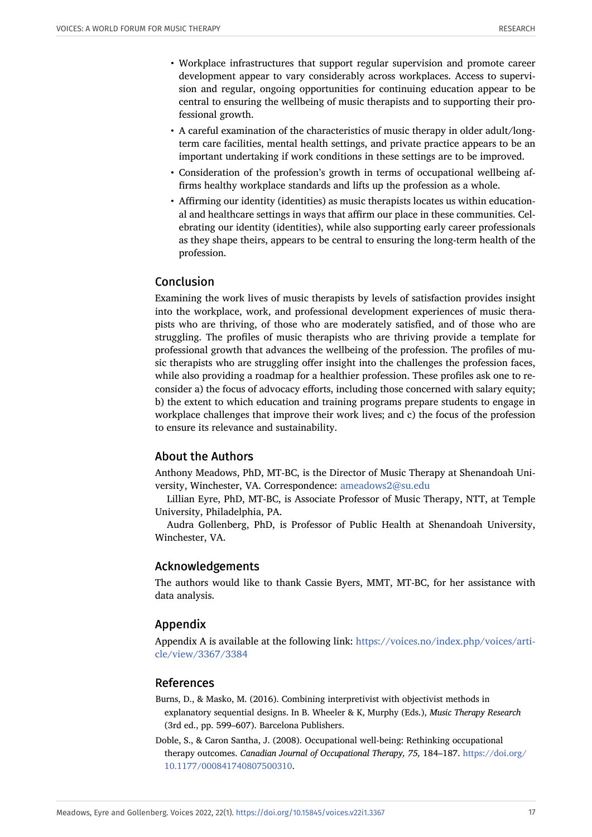- Workplace infrastructures that support regular supervision and promote career development appear to vary considerably across workplaces. Access to supervision and regular, ongoing opportunities for continuing education appear to be central to ensuring the wellbeing of music therapists and to supporting their professional growth.
- A careful examination of the characteristics of music therapy in older adult/longterm care facilities, mental health settings, and private practice appears to be an important undertaking if work conditions in these settings are to be improved.
- Consideration of the profession's growth in terms of occupational wellbeing affirms healthy workplace standards and lifts up the profession as a whole.
- Affirming our identity (identities) as music therapists locates us within educational and healthcare settings in ways that affirm our place in these communities. Celebrating our identity (identities), while also supporting early career professionals as they shape theirs, appears to be central to ensuring the long-term health of the profession.

# Conclusion

Examining the work lives of music therapists by levels of satisfaction provides insight into the workplace, work, and professional development experiences of music therapists who are thriving, of those who are moderately satisfied, and of those who are struggling. The profiles of music therapists who are thriving provide a template for professional growth that advances the wellbeing of the profession. The profiles of music therapists who are struggling offer insight into the challenges the profession faces, while also providing a roadmap for a healthier profession. These profiles ask one to reconsider a) the focus of advocacy efforts, including those concerned with salary equity; b) the extent to which education and training programs prepare students to engage in workplace challenges that improve their work lives; and c) the focus of the profession to ensure its relevance and sustainability.

### About the Authors

Anthony Meadows, PhD, MT-BC, is the Director of Music Therapy at Shenandoah University, Winchester, VA. Correspondence: [ameadows2@su.edu](http://alexandria.uib.no/prod/Voices_Vol22_1/ameadows2@su.edu)

Lillian Eyre, PhD, MT-BC, is Associate Professor of Music Therapy, NTT, at Temple University, Philadelphia, PA.

Audra Gollenberg, PhD, is Professor of Public Health at Shenandoah University, Winchester, VA.

### Acknowledgements

The authors would like to thank Cassie Byers, MMT, MT-BC, for her assistance with data analysis.

# Appendix

Appendix A is available at the following link: [https://voices.no/index.php/voices/arti](https://voices.no/index.php/voices/article/view/3367/3384)[cle/view/3367/3384](https://voices.no/index.php/voices/article/view/3367/3384)

### References

- <span id="page-16-1"></span>Burns, D., & Masko, M. (2016). Combining interpretivist with objectivist methods in explanatory sequential designs. In B. Wheeler & K, Murphy (Eds.), *Music Therapy Research* (3rd ed., pp. 599–607). Barcelona Publishers.
- <span id="page-16-0"></span>Doble, S., & Caron Santha, J. (2008). Occupational well-being: Rethinking occupational therapy outcomes. *Canadian Journal of Occupational Therapy, 75,* 184–187. [https://doi.org/](https://doi.org/10.1177/000841740807500310) [10.1177/000841740807500310](https://doi.org/10.1177/000841740807500310).